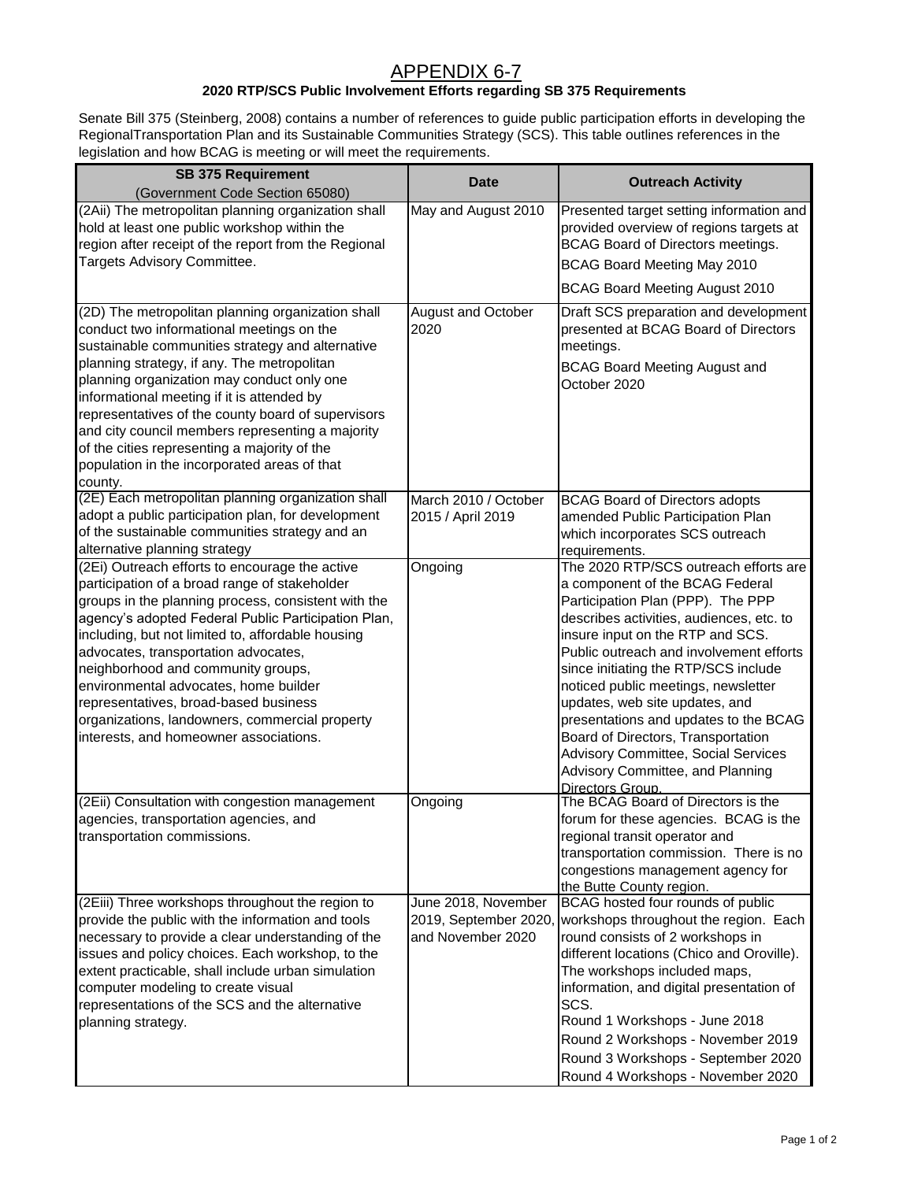## APPENDIX 6-7

## **2020 RTP/SCS Public Involvement Efforts regarding SB 375 Requirements**

Senate Bill 375 (Steinberg, 2008) contains a number of references to guide public participation efforts in developing the RegionalTransportation Plan and its Sustainable Communities Strategy (SCS). This table outlines references in the legislation and how BCAG is meeting or will meet the requirements.

| <b>SB 375 Requirement</b>                                                                                                                                                                                                                                                                                                                                                                                                                                                                                                      |                                                                   |                                                                                                                                                                                                                                                                                                                                                                                                                                                                                                                                         |
|--------------------------------------------------------------------------------------------------------------------------------------------------------------------------------------------------------------------------------------------------------------------------------------------------------------------------------------------------------------------------------------------------------------------------------------------------------------------------------------------------------------------------------|-------------------------------------------------------------------|-----------------------------------------------------------------------------------------------------------------------------------------------------------------------------------------------------------------------------------------------------------------------------------------------------------------------------------------------------------------------------------------------------------------------------------------------------------------------------------------------------------------------------------------|
| (Government Code Section 65080)                                                                                                                                                                                                                                                                                                                                                                                                                                                                                                | <b>Date</b>                                                       | <b>Outreach Activity</b>                                                                                                                                                                                                                                                                                                                                                                                                                                                                                                                |
| (2Aii) The metropolitan planning organization shall<br>hold at least one public workshop within the<br>region after receipt of the report from the Regional<br>Targets Advisory Committee.                                                                                                                                                                                                                                                                                                                                     | May and August 2010                                               | Presented target setting information and<br>provided overview of regions targets at<br>BCAG Board of Directors meetings.<br>BCAG Board Meeting May 2010<br><b>BCAG Board Meeting August 2010</b>                                                                                                                                                                                                                                                                                                                                        |
| (2D) The metropolitan planning organization shall<br>conduct two informational meetings on the<br>sustainable communities strategy and alternative<br>planning strategy, if any. The metropolitan<br>planning organization may conduct only one<br>informational meeting if it is attended by<br>representatives of the county board of supervisors<br>and city council members representing a majority<br>of the cities representing a majority of the<br>population in the incorporated areas of that<br>county.             | August and October<br>2020                                        | Draft SCS preparation and development<br>presented at BCAG Board of Directors<br>meetings.<br><b>BCAG Board Meeting August and</b><br>October 2020                                                                                                                                                                                                                                                                                                                                                                                      |
| (2E) Each metropolitan planning organization shall<br>adopt a public participation plan, for development<br>of the sustainable communities strategy and an<br>alternative planning strategy                                                                                                                                                                                                                                                                                                                                    | March 2010 / October<br>2015 / April 2019                         | <b>BCAG Board of Directors adopts</b><br>amended Public Participation Plan<br>which incorporates SCS outreach<br>requirements.                                                                                                                                                                                                                                                                                                                                                                                                          |
| (2Ei) Outreach efforts to encourage the active<br>participation of a broad range of stakeholder<br>groups in the planning process, consistent with the<br>agency's adopted Federal Public Participation Plan,<br>including, but not limited to, affordable housing<br>advocates, transportation advocates,<br>neighborhood and community groups,<br>environmental advocates, home builder<br>representatives, broad-based business<br>organizations, landowners, commercial property<br>interests, and homeowner associations. | Ongoing                                                           | The 2020 RTP/SCS outreach efforts are<br>a component of the BCAG Federal<br>Participation Plan (PPP). The PPP<br>describes activities, audiences, etc. to<br>insure input on the RTP and SCS.<br>Public outreach and involvement efforts<br>since initiating the RTP/SCS include<br>noticed public meetings, newsletter<br>updates, web site updates, and<br>presentations and updates to the BCAG<br>Board of Directors, Transportation<br>Advisory Committee, Social Services<br>Advisory Committee, and Planning<br>Directors Group. |
| (2Eii) Consultation with congestion management<br>agencies, transportation agencies, and<br>transportation commissions.                                                                                                                                                                                                                                                                                                                                                                                                        | Ongoing                                                           | The BCAG Board of Directors is the<br>forum for these agencies. BCAG is the<br>regional transit operator and<br>transportation commission. There is no<br>congestions management agency for<br>the Butte County region.                                                                                                                                                                                                                                                                                                                 |
| (2Eiii) Three workshops throughout the region to<br>provide the public with the information and tools<br>necessary to provide a clear understanding of the<br>issues and policy choices. Each workshop, to the<br>extent practicable, shall include urban simulation<br>computer modeling to create visual<br>representations of the SCS and the alternative<br>planning strategy.                                                                                                                                             | June 2018, November<br>2019, September 2020.<br>and November 2020 | BCAG hosted four rounds of public<br>workshops throughout the region. Each<br>round consists of 2 workshops in<br>different locations (Chico and Oroville).<br>The workshops included maps,<br>information, and digital presentation of<br>SCS.<br>Round 1 Workshops - June 2018<br>Round 2 Workshops - November 2019<br>Round 3 Workshops - September 2020<br>Round 4 Workshops - November 2020                                                                                                                                        |